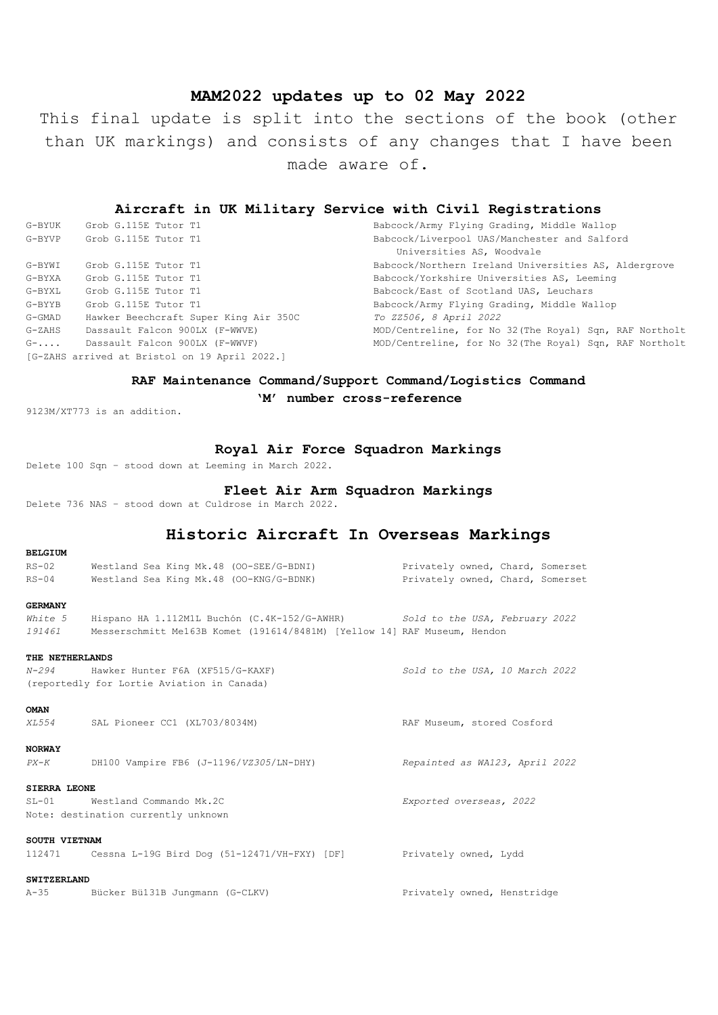# **MAM2022 updates up to 02 May 2022**

This final update is split into the sections of the book (other than UK markings) and consists of any changes that I have been made aware of.

## **Aircraft in UK Military Service with Civil Registrations**

| G-BYUK | Grob G.115E Tutor T1                          | Babcock/Army Flying Grading, Middle Wallop              |
|--------|-----------------------------------------------|---------------------------------------------------------|
| G-BYVP | Grob G.115E Tutor T1                          | Babcock/Liverpool UAS/Manchester and Salford            |
|        |                                               | Universities AS, Woodvale                               |
| G-BYWI | Grob G.115E Tutor T1                          | Babcock/Northern Ireland Universities AS, Aldergrove    |
| G-BYXA | Grob G.115E Tutor T1                          | Babcock/Yorkshire Universities AS, Leeming              |
| G-BYXL | Grob G.115E Tutor T1                          | Babcock/East of Scotland UAS, Leuchars                  |
| G-BYYB | Grob G.115E Tutor T1                          | Babcock/Army Flying Grading, Middle Wallop              |
| G-GMAD | Hawker Beechcraft Super King Air 350C         | To ZZ506, 8 April 2022                                  |
| G-ZAHS | Dassault Falcon 900LX (F-WWVE)                | MOD/Centreline, for No 32 (The Royal) Sqn, RAF Northolt |
| $G-$   | Dassault Falcon 900LX (F-WWVF)                | MOD/Centreline, for No 32 (The Royal) Sqn, RAF Northolt |
|        | [G-ZAHS arrived at Bristol on 19 April 2022.] |                                                         |

# **RAF Maintenance Command/Support Command/Logistics Command**

**'M' number cross-reference**

9123M/XT773 is an addition.

**BELGIUM**

# **Royal Air Force Squadron Markings**

Delete 100 Sqn – stood down at Leeming in March 2022.

# **Fleet Air Arm Squadron Markings**

Delete 736 NAS – stood down at Culdrose in March 2022.

# **Historic Aircraft In Overseas Markings**

| $RS-02$             | Westland Sea King Mk.48 (OO-SEE/G-BDNI)                                         | Privately owned, Chard, Somerset |
|---------------------|---------------------------------------------------------------------------------|----------------------------------|
| $RS-04$             | Westland Sea King Mk.48 (OO-KNG/G-BDNK)                                         | Privately owned, Chard, Somerset |
| <b>GERMANY</b>      |                                                                                 |                                  |
| White 5             | Hispano HA 1.112M1L Buchón (C.4K-152/G-AWHR) Sold to the USA, February 2022     |                                  |
|                     | 191461 Messerschmitt Me163B Komet (191614/8481M) [Yellow 14] RAF Museum, Hendon |                                  |
| THE NETHERLANDS     |                                                                                 |                                  |
|                     | N-294 Hawker Hunter F6A (XF515/G-KAXF)                                          | Sold to the USA, 10 March 2022   |
|                     | (reportedly for Lortie Aviation in Canada)                                      |                                  |
| <b>OMAN</b>         |                                                                                 |                                  |
| XL554               | SAL Pioneer CC1 (XL703/8034M)                                                   | RAF Museum, stored Cosford       |
| <b>NORWAY</b>       |                                                                                 |                                  |
|                     | $PX-K$ DH100 Vampire FB6 (J-1196/VZ305/LN-DHY)                                  | Repainted as WA123, April 2022   |
| <b>SIERRA LEONE</b> |                                                                                 |                                  |
|                     | SL-01 Westland Commando Mk.2C                                                   | Exported overseas, 2022          |
|                     | Note: destination currently unknown                                             |                                  |
| SOUTH VIETNAM       |                                                                                 |                                  |
|                     | 112471 Cessna L-19G Bird Dog (51-12471/VH-FXY) [DF] Privately owned, Lydd       |                                  |
| <b>SWITZERLAND</b>  |                                                                                 |                                  |

A-35 Bücker Bü131B Jungmann (G-CLKV) Privately owned, Henstridge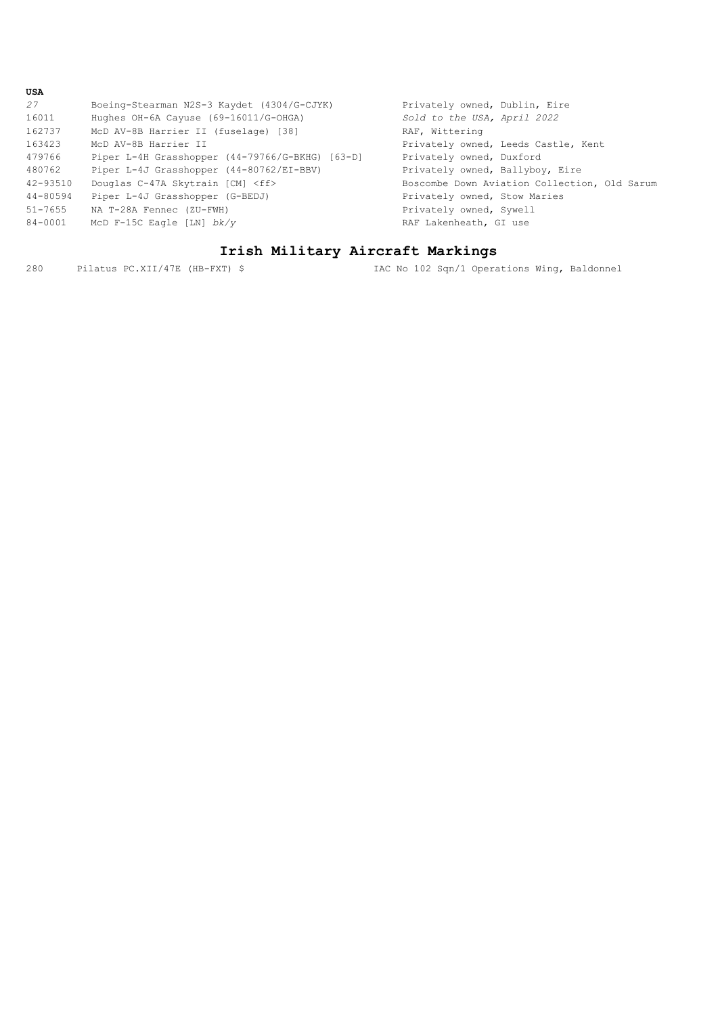| USA         |                                                 |                                              |
|-------------|-------------------------------------------------|----------------------------------------------|
| 27          | Boeing-Stearman N2S-3 Kaydet (4304/G-CJYK)      | Privately owned, Dublin, Eire                |
| 16011       | Hughes $OH-6A$ Cayuse $(69-16011/G-OHGA)$       | Sold to the USA, April 2022                  |
| 162737      | McD AV-8B Harrier II (fuselage) [38]            | RAF, Wittering                               |
| 163423      | McD AV-8B Harrier II                            | Privately owned, Leeds Castle, Kent          |
| 479766      | Piper L-4H Grasshopper (44-79766/G-BKHG) [63-D] | Privately owned, Duxford                     |
| 480762      | Piper L-4J Grasshopper (44-80762/EI-BBV)        | Privately owned, Ballyboy, Eire              |
| 42-93510    | Douglas C-47A Skytrain [CM] <ff></ff>           | Boscombe Down Aviation Collection, Old Sarum |
| 44-80594    | Piper L-4J Grasshopper (G-BEDJ)                 | Privately owned, Stow Maries                 |
| $51 - 7655$ | NA T-28A Fennec (ZU-FWH)                        | Privately owned, Sywell                      |
| 84-0001     | McD F-15C Eagle [LN] $bk/v$                     | RAF Lakenheath, GI use                       |
|             |                                                 |                                              |

# **Irish Military Aircraft Markings**

280 Pilatus PC.XII/47E (HB-FXT) \$ IAC No 102 Sqn/1 Operations Wing, Baldonnel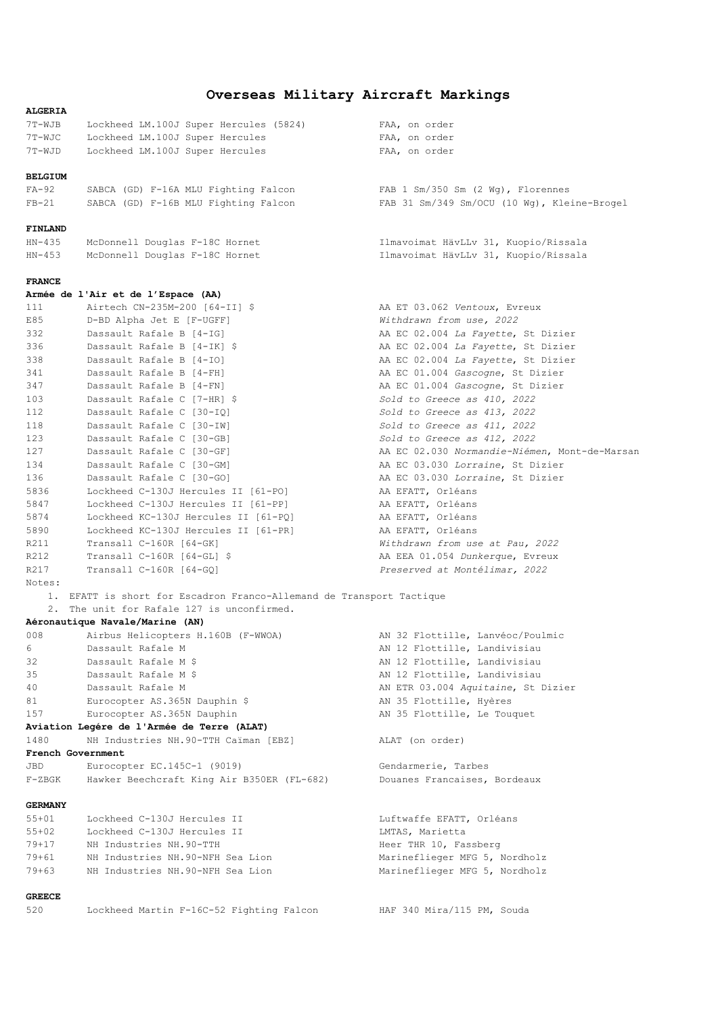# **Overseas Military Aircraft Markings**

| <b>ALGERIA</b> |                                                                      |                                               |
|----------------|----------------------------------------------------------------------|-----------------------------------------------|
| 7T-WJB         | Lockheed LM.100J Super Hercules (5824)                               | FAA, on order                                 |
| 7T-WJC         | Lockheed LM.100J Super Hercules                                      | FAA, on order                                 |
| 7T-WJD         | Lockheed LM.100J Super Hercules                                      | FAA, on order                                 |
|                |                                                                      |                                               |
| <b>BELGIUM</b> |                                                                      |                                               |
| FA-92          | SABCA (GD) F-16A MLU Fighting Falcon                                 | FAB $1 \,$ Sm/350 Sm (2 Wg), Florennes        |
| $FB-21$        | SABCA (GD) F-16B MLU Fighting Falcon                                 | FAB 31 Sm/349 Sm/OCU (10 Wg), Kleine-Brogel   |
|                |                                                                      |                                               |
| FINLAND        |                                                                      |                                               |
| HN-435         | McDonnell Douglas F-18C Hornet                                       | Ilmavoimat HävLLv 31, Kuopio/Rissala          |
| HN-453         | McDonnell Douglas F-18C Hornet                                       | Ilmavoimat HävLLv 31, Kuopio/Rissala          |
|                |                                                                      |                                               |
| <b>FRANCE</b>  |                                                                      |                                               |
|                | Armée de l'Air et de l'Espace (AA)                                   |                                               |
| 111            | Airtech CN-235M-200 [64-II] \$                                       | AA ET 03.062 Ventoux, Evreux                  |
| E85            | D-BD Alpha Jet E [F-UGFF]                                            | Withdrawn from use, 2022                      |
| 332            | Dassault Rafale B [4-IG]                                             | AA EC 02.004 La Fayette, St Dizier            |
| 336            | Dassault Rafale B [4-IK] \$                                          | AA EC 02.004 La Fayette, St Dizier            |
| 338            | Dassault Rafale B [4-IO]                                             | AA EC 02.004 La Fayette, St Dizier            |
| 341            | Dassault Rafale B [4-FH]                                             | AA EC 01.004 Gascogne, St Dizier              |
| 347            | Dassault Rafale B [4-FN]                                             | AA EC 01.004 Gascogne, St Dizier              |
| 103            | Dassault Rafale C [7-HR] \$                                          | Sold to Greece as 410, 2022                   |
| 112            |                                                                      |                                               |
| 118            | Dassault Rafale C [30-IQ]<br>Dassault Rafale C [30-IW]               | Sold to Greece as 413, 2022                   |
|                |                                                                      | Sold to Greece as 411, 2022                   |
| 123            | Dassault Rafale C [30-GB]                                            | Sold to Greece as 412, 2022                   |
| 127            | Dassault Rafale C [30-GF]                                            | AA EC 02.030 Normandie-Niémen, Mont-de-Marsan |
| 134            | Dassault Rafale C [30-GM]                                            | AA EC 03.030 Lorraine, St Dizier              |
| 136            | Dassault Rafale C [30-GO]                                            | AA EC 03.030 Lorraine, St Dizier              |
| 5836           | Lockheed C-130J Hercules II [61-PO]                                  | AA EFATT, Orléans                             |
| 5847           | Lockheed C-130J Hercules II [61-PP]                                  | AA EFATT, Orléans                             |
| 5874           | Lockheed KC-130J Hercules II [61-PQ]                                 | AA EFATT, Orléans                             |
| 5890           | Lockheed KC-130J Hercules II [61-PR]                                 | AA EFATT, Orléans                             |
| R211           | Transall C-160R [64-GK]                                              | Withdrawn from use at Pau, 2022               |
| R212           | Transall C-160R [64-GL] \$                                           | AA EEA 01.054 Dunkerque, Evreux               |
| R217           | Transall C-160R [64-GQ]                                              | Preserved at Montélimar, 2022                 |
| Notes:         |                                                                      |                                               |
|                | 1. EFATT is short for Escadron Franco-Allemand de Transport Tactique |                                               |
|                | 2. The unit for Rafale 127 is unconfirmed.                           |                                               |
|                | Aéronautique Navale/Marine (AN)                                      |                                               |
| 008            | Airbus Helicopters H.160B (F-WWOA)                                   | AN 32 Flottille, Lanvéoc/Poulmic              |
| 6              | Dassault Rafale M                                                    | AN 12 Flottille, Landivisiau                  |
| 32             | Dassault Rafale M \$                                                 | AN 12 Flottille, Landivisiau                  |
| 35             | Dassault Rafale M \$                                                 | AN 12 Flottille, Landivisiau                  |
| 40             | Dassault Rafale M                                                    | AN ETR 03.004 Aquitaine, St Dizier            |
| 81             | Eurocopter AS.365N Dauphin \$                                        | AN 35 Flottille, Hyères                       |
| 157            | Eurocopter AS.365N Dauphin                                           | AN 35 Flottille, Le Touquet                   |
|                | Aviation Legére de l'Armée de Terre (ALAT)                           |                                               |
| 1480           | NH Industries NH. 90-TTH Caïman [EBZ]                                | ALAT (on order)                               |
|                | French Government                                                    |                                               |
| JBD            | Eurocopter EC.145C-1 (9019)                                          | Gendarmerie, Tarbes                           |
| F-ZBGK         | Hawker Beechcraft King Air B350ER (FL-682)                           | Douanes Francaises, Bordeaux                  |
|                |                                                                      |                                               |
| <b>GERMANY</b> |                                                                      |                                               |
| $55 + 01$      | Lockheed C-130J Hercules II                                          | Luftwaffe EFATT, Orléans                      |
| 55+02          | Lockheed C-130J Hercules II                                          | LMTAS, Marietta                               |
| 79+17          | NH Industries NH. 90-TTH                                             | Heer THR 10, Fassberg                         |
| 79+61          | NH Industries NH.90-NFH Sea Lion                                     | Marineflieger MFG 5, Nordholz                 |
| 79+63          | NH Industries NH. 90-NFH Sea Lion                                    | Marineflieger MFG 5, Nordholz                 |
|                |                                                                      |                                               |
| <b>GREECE</b>  |                                                                      |                                               |
| 520            | Lockheed Martin F-16C-52 Fighting Falcon                             | HAF 340 Mira/115 PM, Souda                    |
|                |                                                                      |                                               |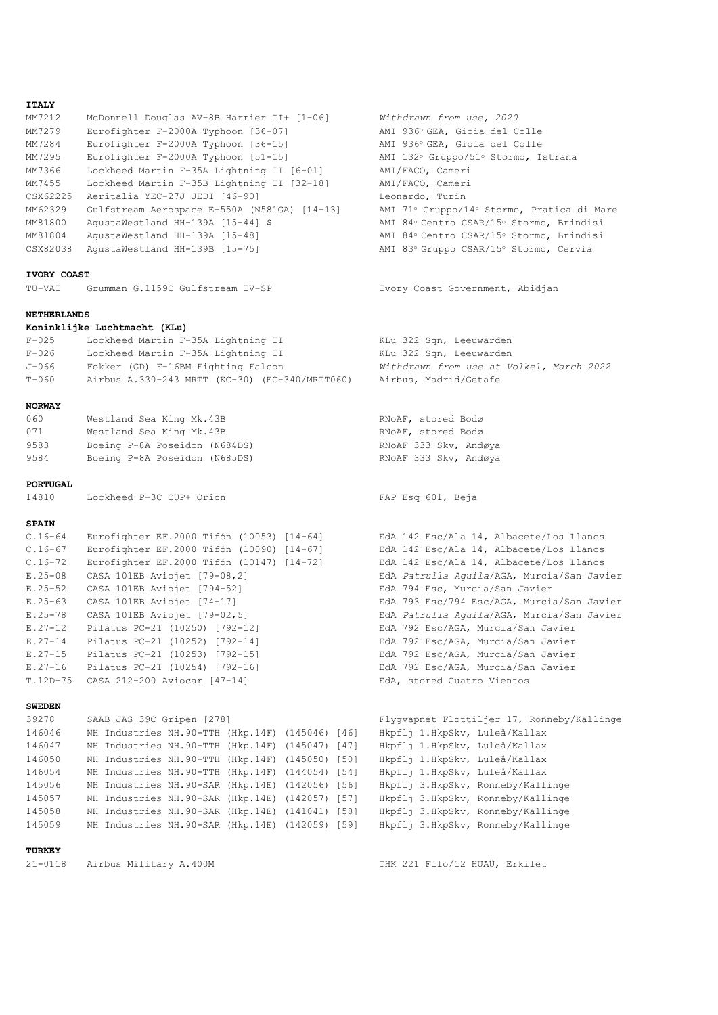#### **ITALY**

| MM7212   | McDonnell Douglas AV-8B Harrier II+ [1-06]   | Withdrawn from use, 2020               |
|----------|----------------------------------------------|----------------------------------------|
| MM7279   | Eurofighter F-2000A Typhoon [36-07]          | AMI 936° GEA, Gioia del Colle          |
| MM7284   | Eurofighter F-2000A Typhoon [36-15]          | AMI 936° GEA, Gioia del Colle          |
| MM7295   | Eurofighter F-2000A Typhoon [51-15]          | AMI 132° Gruppo/51° Stormo, Istrana    |
| MM7366   | Lockheed Martin F-35A Lightning II [6-01]    | AMI/FACO, Cameri                       |
| MM7455   | Lockheed Martin F-35B Lightning II [32-18]   | AMI/FACO, Cameri                       |
| CSX62225 | Aeritalia YEC-27J JEDI [46-90]               | Leonardo, Turin                        |
| MM62329  | Gulfstream Aerospace E-550A (N581GA) [14-13] | AMI 71° Gruppo/14° Stormo, Pratica di  |
| MM81800  | AgustaWestland HH-139A [15-44] \$            | AMI 84° Centro CSAR/15° Stormo, Brindi |
| MM81804  | AgustaWestland HH-139A [15-48]               | AMI 84° Centro CSAR/15° Stormo, Brindi |
| CSX82038 | AgustaWestland HH-139B [15-75]               | AMI 83º Gruppo CSAR/15º Stormo, Cervia |

#### **IVORY COAST**

TU-VAI Grumman G.1159C Gulfstream IV-SP Ivory Coast Government, Abidjan

#### **NETHERLANDS**

|         | Koninklijke Luchtmacht (KLu)                   |                                          |
|---------|------------------------------------------------|------------------------------------------|
| $F-025$ | Lockheed Martin F-35A Lightning II             | KLu 322 Sqn, Leeuwarden                  |
| $F-026$ | Lockheed Martin F-35A Lightning II             | KLu 322 Sqn, Leeuwarden                  |
| J-066   | Fokker (GD) F-16BM Fighting Falcon             | Withdrawn from use at Volkel, March 2022 |
| $T-060$ | Airbus A.330-243 MRTT (KC-30) (EC-340/MRTT060) | Airbus, Madrid/Getafe                    |

#### **NORWAY**

| 060  | Westland Sea King Mk.43B      | RNoAF, stored Bodø |  |
|------|-------------------------------|--------------------|--|
| 071  | Westland Sea King Mk.43B      | RNoAF, stored Bodø |  |
| 9583 | Boeing P-8A Poseidon (N684DS) | RNOAF 333 Skv, And |  |
| 9584 | Boeing P-8A Poseidon (N685DS) | RNOAF 333 Skv. And |  |

#### **PORTUGAL**

14810 Lockheed P-3C CUP+ Orion FAP Esq 601, Beja

#### **SPAIN**

| ∪.⊥0−04     | EALOITANCEL EL.ZOOO IIION (IOOOO) [14-04] | LUA 142 LSC/AId 14, AIDACE |
|-------------|-------------------------------------------|----------------------------|
| $C.16 - 67$ | Eurofighter EF.2000 Tifón (10090) [14-67] | EdA 142 Esc/Ala 14, Albace |
| $C.16 - 72$ | Eurofighter EF.2000 Tifón (10147) [14-72] | EdA 142 Esc/Ala 14, Albace |
| $E.25 - 08$ | CASA 101EB Aviojet [79-08,2]              | EdA Patrulla Aquila/AGA, M |
| $E.25 - 52$ | CASA 101EB Aviojet [794-52]               | EdA 794 Esc, Murcia/San Ja |
| $E.25 - 63$ | CASA 101EB Aviojet [74-17]                | EdA 793 Esc/794 Esc/AGA, M |
| $E.25 - 78$ | CASA 101EB Aviojet [79-02,5]              | EdA Patrulla Aquila/AGA, M |
| $E.27 - 12$ | Pilatus PC-21 (10250) [792-12]            | EdA 792 Esc/AGA, Murcia/Sa |
| $E.27 - 14$ | Pilatus PC-21 (10252) [792-14]            | EdA 792 Esc/AGA, Murcia/Sa |
| $E.27 - 15$ | Pilatus PC-21 (10253) [792-15]            | EdA 792 Esc/AGA, Murcia/Sa |
| $E.27 - 16$ | Pilatus PC-21 (10254) [792-16]            | EdA 792 Esc/AGA, Murcia/Sa |
|             | T.12D-75 CASA 212-200 Aviocar [47-14]     | EdA, stored Cuatro Vientos |

#### **SWEDEN**

 NH Industries NH.90-TTH (Hkp.14F) (145046) [46] Hkpflj 1.HkpSkv, Luleå/Kallax NH Industries NH.90-TTH (Hkp.14F) (145047) [47] Hkpflj 1.HkpSkv, Luleå/Kallax NH Industries NH.90-TTH (Hkp.14F) (145050) [50] Hkpflj 1.HkpSkv, Luleå/Kallax NH Industries NH.90-TTH (Hkp.14F) (144054) [54] Hkpflj 1.HkpSkv, Luleå/Kallax NH Industries NH.90-SAR (Hkp.14E) (142056) [56] Hkpflj 3.HkpSkv, Ronneby/Kallinge NH Industries NH.90-SAR (Hkp.14E) (142057) [57] Hkpflj 3.HkpSkv, Ronneby/Kallinge NH Industries NH.90-SAR (Hkp.14E) (141041) [58] Hkpflj 3.HkpSkv, Ronneby/Kallinge NH Industries NH.90-SAR (Hkp.14E) (142059) [59] Hkpflj 3.HkpSkv, Ronneby/Kallinge

# **TURKEY**

AMI 71° Gruppo/14° Stormo, Pratica di Mare AMI 84° Centro CSAR/15° Stormo, Brindisi AMI 84° Centro CSAR/15° Stormo, Brindisi

RNoAF, stored Bodø 358 Boeing P-833 Skv, Andøya 358 Boeing P-8A Poseidon (N685) RNoAF 333 Skv, Andøya

Withdrawn from use, 2020 AMI 936° GEA, Gioia del Colle AMI 936° GEA, Gioia del Colle AMI 132° Gruppo/51° Stormo, Istrana

Eurofighter EF.2000 Tifón (10053) [14-64] EdA 142 Esc/Ala 14, Albacete/Los Llanos EdA 142 Esc/Ala 14, Albacete/Los Llanos EdA 142 Esc/Ala 14, Albacete/Los Llanos EdA Patrulla Aguila/AGA, Murcia/San Javier EdA 794 Esc, Murcia/San Javier EdA 793 Esc/794 Esc/AGA, Murcia/San Javier EdA Patrulla Aguila/AGA, Murcia/San Javier EdA 792 Esc/AGA, Murcia/San Javier EdA 792 Esc/AGA, Murcia/San Javier EdA 792 Esc/AGA, Murcia/San Javier EdA 792 Esc/AGA, Murcia/San Javier

```
39278 SAAB JAS 39C Gripen [278] Flygvapnet Flottiljer 17, Ronneby/Kallinge
```
21-0118 Airbus Military A.400M THK 221 Filo/12 HUAÜ, Erkilet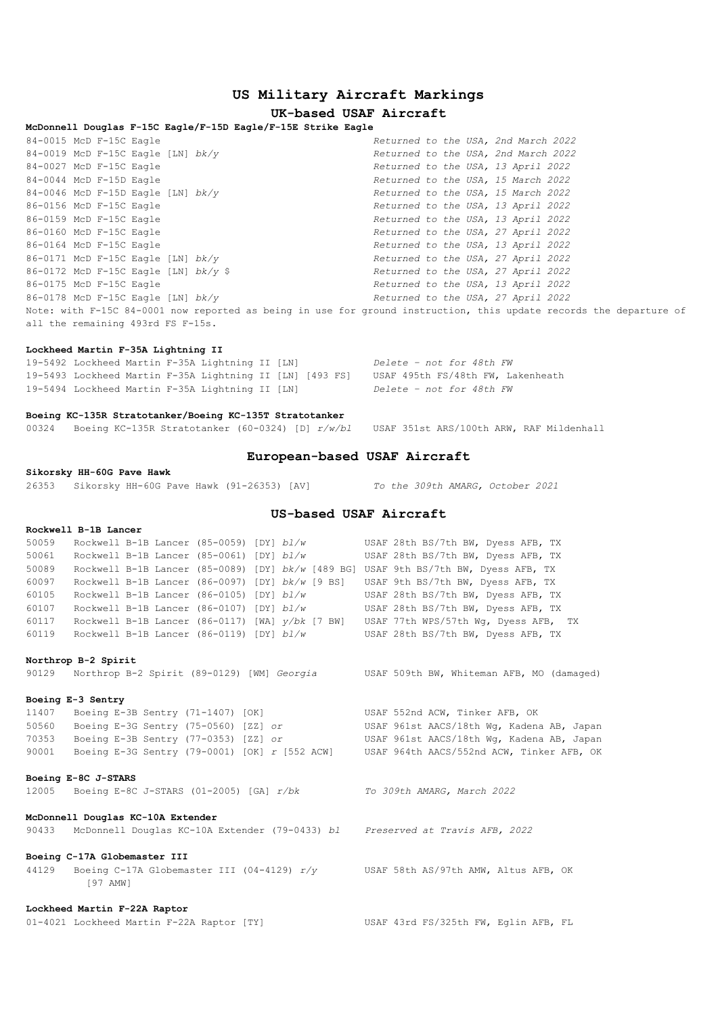# **US Military Aircraft Markings**

# **UK-based USAF Aircraft**

# **McDonnell Douglas F-15C Eagle/F-15D Eagle/F-15E Strike Eagle**

| 84-0015 McD F-15C Eagle                |                                                                                                                    | Returned to the USA, 2nd March 2022 |  |  |  |  |
|----------------------------------------|--------------------------------------------------------------------------------------------------------------------|-------------------------------------|--|--|--|--|
| 84-0019 McD F-15C Eagle [LN] $bk/v$    |                                                                                                                    | Returned to the USA, 2nd March 2022 |  |  |  |  |
| 84-0027 McD F-15C Eagle                |                                                                                                                    | Returned to the USA, 13 April 2022  |  |  |  |  |
| 84-0044 McD F-15D Eagle                |                                                                                                                    | Returned to the USA, 15 March 2022  |  |  |  |  |
| 84-0046 McD F-15D Eagle [LN] $bk/y$    |                                                                                                                    | Returned to the USA, 15 March 2022  |  |  |  |  |
| 86-0156 McD F-15C Eagle                |                                                                                                                    | Returned to the USA, 13 April 2022  |  |  |  |  |
| 86-0159 McD F-15C Eagle                |                                                                                                                    | Returned to the USA, 13 April 2022  |  |  |  |  |
| 86-0160 McD F-15C Eagle                |                                                                                                                    | Returned to the USA, 27 April 2022  |  |  |  |  |
| 86-0164 McD F-15C Eagle                |                                                                                                                    | Returned to the USA, 13 April 2022  |  |  |  |  |
| 86-0171 McD F-15C Eagle [LN] $bk/v$    |                                                                                                                    | Returned to the USA, 27 April 2022  |  |  |  |  |
| 86-0172 McD F-15C Eagle [LN] $bk/v$ \$ |                                                                                                                    | Returned to the USA, 27 April 2022  |  |  |  |  |
| 86-0175 McD F-15C Eagle                |                                                                                                                    | Returned to the USA, 13 April 2022  |  |  |  |  |
| 86-0178 McD F-15C Eagle [LN] $bk/v$    |                                                                                                                    | Returned to the USA, 27 April 2022  |  |  |  |  |
|                                        | Note: with F-15C 84-0001 now reported as being in use for ground instruction, this update records the departure of |                                     |  |  |  |  |
| all the remaining 493rd FS F-15s.      |                                                                                                                    |                                     |  |  |  |  |

### **Lockheed Martin F-35A Lightning II**

| 19-5492 Lockheed Martin F-35A Lightning II [LN] |  |                                                          | Delete - not for 48th FW          |
|-------------------------------------------------|--|----------------------------------------------------------|-----------------------------------|
|                                                 |  | 19-5493 Lockheed Martin F-35A Lightning II [LN] [493 FS] | USAF 495th FS/48th FW, Lakenheath |
| 19-5494 Lockheed Martin F-35A Lightning II [LN] |  |                                                          | Delete - not for 48th FW          |

#### **Boeing KC-135R Stratotanker/Boeing KC-135T Stratotanker**

00324 Boeing KC-135R Stratotanker (60-0324) [D] *r/w/bl* USAF 351st ARS/100th ARW, RAF Mildenhall

### **European-based USAF Aircraft**

#### **Sikorsky HH-60G Pave Hawk**

26353 Sikorsky HH-60G Pave Hawk (91-26353) [AV] *To the 309th AMARG, October 2021*

## **US-based USAF Aircraft**

# **Rockwell B-1B Lancer**<br>50059 Rockwell B 1B 1-4

| 50059 | Rockwell B-1B Lancer (85-0059) [DY] bl/w          |  |  | USAF 28th BS/7th BW, Dyess AFB, TX   |
|-------|---------------------------------------------------|--|--|--------------------------------------|
| 50061 | Rockwell B-1B Lancer (85-0061) [DY] bl/w          |  |  | USAF 28th BS/7th BW, Dyess AFB, TX   |
| 50089 | Rockwell B-1B Lancer (85-0089) [DY] bk/w [489 BG] |  |  | USAF 9th BS/7th BW, Dyess AFB, TX    |
| 60097 | Rockwell B-1B Lancer (86-0097) [DY] bk/w [9 BS]   |  |  | USAF 9th BS/7th BW, Dyess AFB, TX    |
| 60105 | Rockwell B-1B Lancer (86-0105) [DY] bl/w          |  |  | USAF 28th BS/7th BW, Dyess AFB, TX   |
| 60107 | Rockwell B-1B Lancer (86-0107) [DY] bl/w          |  |  | USAF 28th BS/7th BW, Dyess AFB, TX   |
| 60117 | Rockwell B-1B Lancer (86-0117) [WA] $y/bk$ [7 BW] |  |  | USAF 77th WPS/57th Wg, Dyess AFB, TX |
| 60119 | Rockwell B-1B Lancer (86-0119) [DY] bl/w          |  |  | USAF 28th BS/7th BW, Dyess AFB, TX   |

#### **Northrop B-2 Spirit**

90129 Northrop B-2 Spirit (89-0129) [WM] *Georgia* USAF 509th BW, Whiteman AFB, MO (damaged)

#### **Boeing E-3 Sentry**

 Boeing E-3B Sentry (71-1407) [OK] USAF 552nd ACW, Tinker AFB, OK Boeing E-3G Sentry (75-0560) [ZZ] *or* USAF 961st AACS/18th Wg, Kadena AB, Japan Boeing E-3B Sentry (77-0353) [ZZ] *or* USAF 961st AACS/18th Wg, Kadena AB, Japan Boeing E-3G Sentry (79-0001) [OK] *r* [552 ACW] USAF 964th AACS/552nd ACW, Tinker AFB, OK

#### **Boeing E-8C J-STARS**

12005 Boeing E-8C J-STARS (01-2005) [GA] *r/bk To 309th AMARG, March 2022*

#### **McDonnell Douglas KC-10A Extender**

90433 McDonnell Douglas KC-10A Extender (79-0433) *bl Preserved at Travis AFB, 2022*

#### **Boeing C-17A Globemaster III**

44129 Boeing C-17A Globemaster III (04-4129) *r/y* USAF 58th AS/97th AMW, Altus AFB, OK [97 AMW]

#### **Lockheed Martin F-22A Raptor**

01-4021 Lockheed Martin F-22A Raptor [TY] USAF 43rd FS/325th FW, Eglin AFB, FL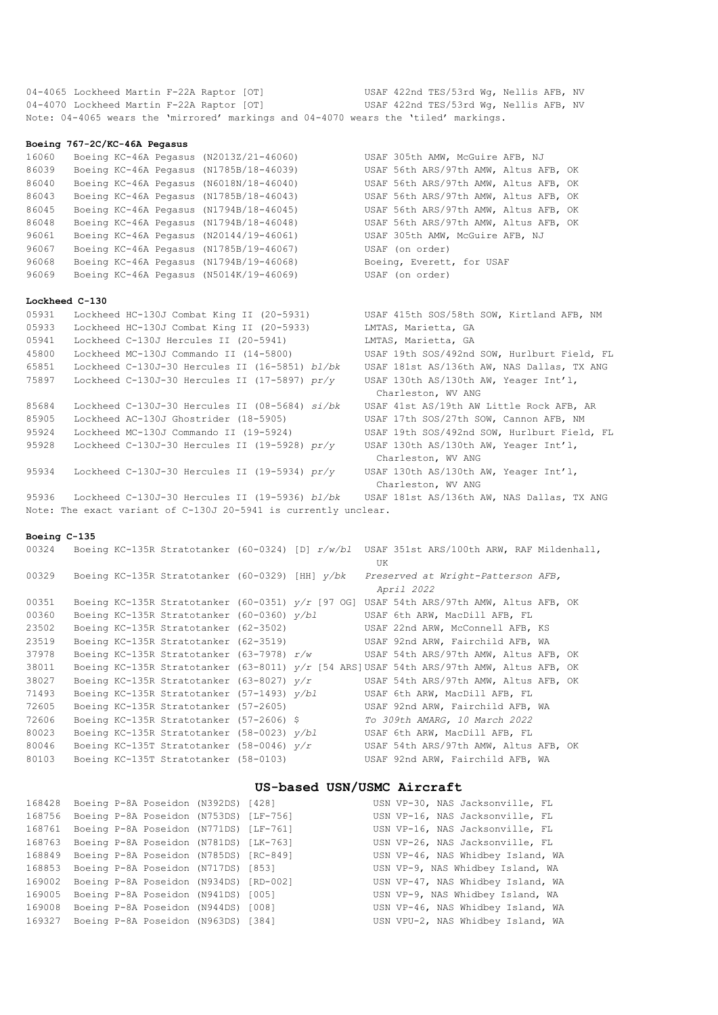04-4065 Lockheed Martin F-22A Raptor [OT] USAF 422nd TES/53rd Wg, Nellis AFB, NV 04-4070 Lockheed Martin F-22A Raptor [OT] USAF 422nd TES/53rd Wg, Nellis AFB, NV Note: 04-4065 wears the 'mirrored' markings and 04-4070 wears the 'tiled' markings.

#### **Boeing 767-2C/KC-46A Pegasus**

| 16060 | Boeing KC-46A Pegasus (N2013Z/21-46060) | USAF 305th AMW, McGuire AFB, NJ       |
|-------|-----------------------------------------|---------------------------------------|
| 86039 | Boeing KC-46A Pegasus (N1785B/18-46039) | USAF 56th ARS/97th AMW, Altus AFB, OK |
| 86040 | Boeing KC-46A Pegasus (N6018N/18-46040) | USAF 56th ARS/97th AMW, Altus AFB, OK |
| 86043 | Boeing KC-46A Pegasus (N1785B/18-46043) | USAF 56th ARS/97th AMW, Altus AFB, OK |
| 86045 | Boeing KC-46A Pegasus (N1794B/18-46045) | USAF 56th ARS/97th AMW, Altus AFB, OK |
| 86048 | Boeing KC-46A Pegasus (N1794B/18-46048) | USAF 56th ARS/97th AMW, Altus AFB, OK |
| 96061 | Boeing KC-46A Pegasus (N20144/19-46061) | USAF 305th AMW, McGuire AFB, NJ       |
| 96067 | Boeing KC-46A Pegasus (N1785B/19-46067) | USAF (on order)                       |
| 96068 | Boeing KC-46A Pegasus (N1794B/19-46068) | Boeing, Everett, for USAF             |
| 96069 | Boeing KC-46A Pegasus (N5014K/19-46069) | USAF (on order)                       |
|       |                                         |                                       |

#### **Lockheed C-130**

| 05931 | Lockheed HC-130J Combat King II (20-5931)          | USAF 415th SOS/58th SOW, Kirtland AFB, NM   |
|-------|----------------------------------------------------|---------------------------------------------|
| 05933 | Lockheed HC-130J Combat King II (20-5933)          | LMTAS, Marietta, GA                         |
| 05941 | Lockheed C-130J Hercules II (20-5941)              | LMTAS, Marietta, GA                         |
| 45800 | Lockheed MC-130J Commando II (14-5800)             | USAF 19th SOS/492nd SOW, Hurlburt Field, FL |
| 65851 | Lockheed C-130J-30 Hercules II (16-5851) bl/bk     | USAF 181st AS/136th AW, NAS Dallas, TX ANG  |
| 75897 | Lockheed C-130J-30 Hercules II (17-5897) $pr/v$    | USAF 130th AS/130th AW, Yeager Int'l,       |
|       |                                                    | Charleston, WV ANG                          |
| 85684 | Lockheed $C-130J-30$ Hercules II (08-5684) $si/bk$ | USAF 41st AS/19th AW Little Rock AFB, AR    |
| 85905 | Lockheed AC-130J Ghostrider (18-5905)              | USAF 17th SOS/27th SOW, Cannon AFB, NM      |
| 95924 | Lockheed MC-130J Commando II (19-5924)             | USAF 19th SOS/492nd SOW, Hurlburt Field, FL |
| 95928 | Lockheed $C-130J-30$ Hercules II (19-5928) $pr/v$  | USAF 130th AS/130th AW, Yeager Int'l,       |
|       |                                                    | Charleston, WV ANG                          |
| 95934 | Lockheed $C-130J-30$ Hercules II (19-5934) $pr/y$  | USAF 130th AS/130th AW, Yeager Int'l,       |
|       |                                                    | Charleston, WV ANG                          |

 Lockheed C-130J-30 Hercules II (19-5936) *bl/bk* USAF 181st AS/136th AW, NAS Dallas, TX ANG Note: The exact variant of C-130J 20-5941 is currently unclear.

## **Boeing C-135**

| 00324 |  |                                                     |  | Boeing KC-135R Stratotanker (60-0324) [D] $r/w/b1$ USAF 351st ARS/100th ARW, RAF Mildenhall, |
|-------|--|-----------------------------------------------------|--|----------------------------------------------------------------------------------------------|
|       |  |                                                     |  | UK                                                                                           |
| 00329 |  | Boeing KC-135R Stratotanker (60-0329) [HH] $v/bk$   |  | Preserved at Wright-Patterson AFB,                                                           |
|       |  |                                                     |  | April 2022                                                                                   |
| 00351 |  | Boeing KC-135R Stratotanker (60-0351) $y/r$ [97 OG] |  | USAF 54th ARS/97th AMW, Altus AFB, OK                                                        |
| 00360 |  | Boeing KC-135R Stratotanker (60-0360) y/bl          |  | USAF 6th ARW, MacDill AFB, FL                                                                |
| 23502 |  | Boeing KC-135R Stratotanker (62-3502)               |  | USAF 22nd ARW, McConnell AFB, KS                                                             |
| 23519 |  | Boeing KC-135R Stratotanker (62-3519)               |  | USAF 92nd ARW, Fairchild AFB, WA                                                             |
| 37978 |  | Boeing KC-135R Stratotanker (63-7978) $r/w$         |  | USAF 54th ARS/97th AMW, Altus AFB, OK                                                        |
| 38011 |  |                                                     |  | Boeing KC-135R Stratotanker (63-8011) $y/r$ [54 ARS] USAF 54th ARS/97th AMW, Altus AFB, OK   |
| 38027 |  | Boeing KC-135R Stratotanker (63-8027) $v/r$         |  | USAF 54th ARS/97th AMW, Altus AFB, OK                                                        |
| 71493 |  | Boeing KC-135R Stratotanker (57-1493) y/bl          |  | USAF 6th ARW, MacDill AFB, FL                                                                |
| 72605 |  | Boeing KC-135R Stratotanker (57-2605)               |  | USAF 92nd ARW, Fairchild AFB, WA                                                             |
| 72606 |  | Boeing KC-135R Stratotanker (57-2606) \$            |  | To 309th AMARG, 10 March 2022                                                                |
| 80023 |  | Boeing KC-135R Stratotanker (58-0023) v/bl          |  | USAF 6th ARW, MacDill AFB, FL                                                                |
| 80046 |  | Boeing KC-135T Stratotanker (58-0046) $v/r$         |  | USAF 54th ARS/97th AMW, Altus AFB, OK                                                        |
| 80103 |  | Boeing KC-135T Stratotanker (58-0103)               |  | USAF 92nd ARW, Fairchild AFB, WA                                                             |
|       |  |                                                     |  |                                                                                              |

# **US-based USN/USMC Aircraft**

|        | 168428 Boeing P-8A Poseidon (N392DS) [428] |  |  | USN VP-30, NAS Jacksonville, FL   |  |
|--------|--------------------------------------------|--|--|-----------------------------------|--|
| 168756 | Boeing P-8A Poseidon (N753DS) [LF-756]     |  |  | USN VP-16, NAS Jacksonville, FL   |  |
| 168761 | Boeing P-8A Poseidon (N771DS) [LF-761]     |  |  | USN VP-16, NAS Jacksonville, FL   |  |
| 168763 | Boeing P-8A Poseidon (N781DS) [LK-763]     |  |  | USN VP-26, NAS Jacksonville, FL   |  |
| 168849 | Boeing P-8A Poseidon (N785DS) [RC-849]     |  |  | USN VP-46, NAS Whidbey Island, WA |  |
| 168853 | Boeing P-8A Poseidon (N717DS) [853]        |  |  | USN VP-9, NAS Whidbey Island, WA  |  |
| 169002 | Boeing P-8A Poseidon (N934DS) [RD-002]     |  |  | USN VP-47, NAS Whidbey Island, WA |  |
| 169005 | Boeing P-8A Poseidon (N941DS) [005]        |  |  | USN VP-9, NAS Whidbey Island, WA  |  |
| 169008 | Boeing P-8A Poseidon (N944DS) [008]        |  |  | USN VP-46, NAS Whidbey Island, WA |  |
|        | 169327 Boeing P-8A Poseidon (N963DS) [384] |  |  | USN VPU-2, NAS Whidbey Island, WA |  |
|        |                                            |  |  |                                   |  |